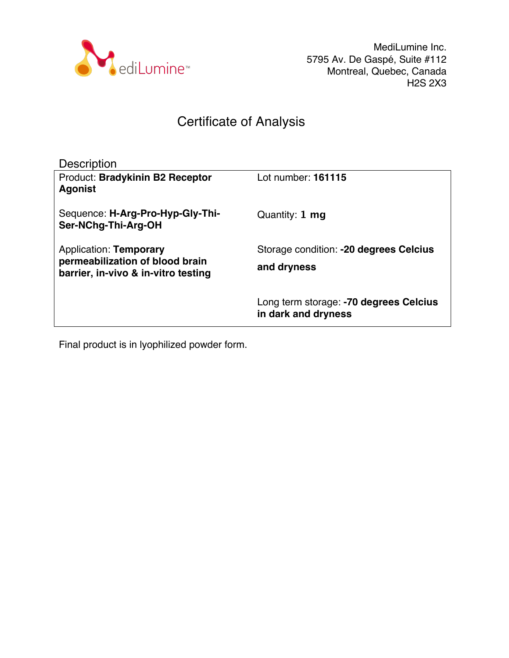

MediLumine Inc. 5795 Av. De Gaspé, Suite #112 Montreal, Quebec, Canada H2S 2X3

## Certificate of Analysis

| <b>Description</b>                                        |                                                               |
|-----------------------------------------------------------|---------------------------------------------------------------|
| <b>Product: Bradykinin B2 Receptor</b><br><b>Agonist</b>  | Lot number: 161115                                            |
| Sequence: H-Arg-Pro-Hyp-Gly-Thi-<br>Ser-NChg-Thi-Arg-OH   | Quantity: 1 mg                                                |
| Application: Temporary<br>permeabilization of blood brain | Storage condition: -20 degrees Celcius                        |
| barrier, in-vivo & in-vitro testing                       | and dryness                                                   |
|                                                           | Long term storage: -70 degrees Celcius<br>in dark and dryness |

Final product is in lyophilized powder form.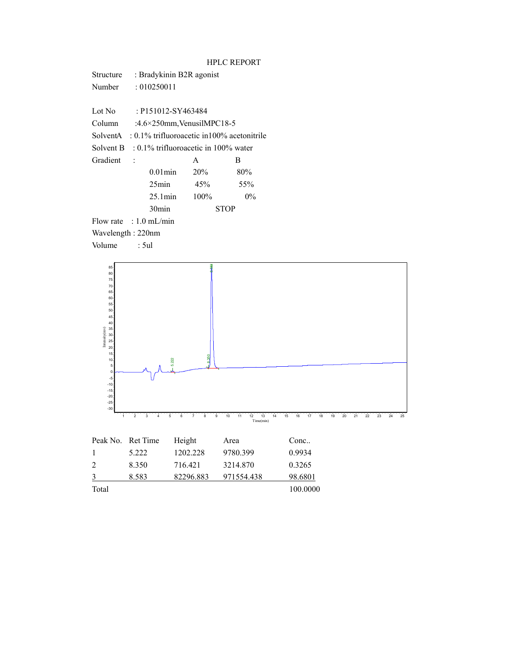| Structure         | : Bradykinin B2R agonist                                |                            |             |  |  |  |
|-------------------|---------------------------------------------------------|----------------------------|-------------|--|--|--|
| Number            | :010250011                                              |                            |             |  |  |  |
|                   |                                                         |                            |             |  |  |  |
| Lot No            | : P151012-SY463484                                      |                            |             |  |  |  |
| Column            |                                                         | :4.6×250mm, VenusilMPC18-5 |             |  |  |  |
|                   | SolventA : $0.1\%$ trifluoroacetic in 100% acetonitrile |                            |             |  |  |  |
|                   | Solvent B : $0.1\%$ trifluoroacetic in 100% water       |                            |             |  |  |  |
| Gradient          | $\overline{\phantom{a}}$                                | A                          | В           |  |  |  |
|                   | $0.01$ min                                              | 20%                        | 80%         |  |  |  |
|                   | $25$ min                                                | 45%                        | 55%         |  |  |  |
|                   | $25.1$ min                                              | $100\%$                    | $0\%$       |  |  |  |
|                   | 30 <sub>min</sub>                                       |                            | <b>STOP</b> |  |  |  |
|                   | Flow rate : $1.0$ mL/min                                |                            |             |  |  |  |
| Wavelength: 220nm |                                                         |                            |             |  |  |  |
| Volume            | : 5ul                                                   |                            |             |  |  |  |